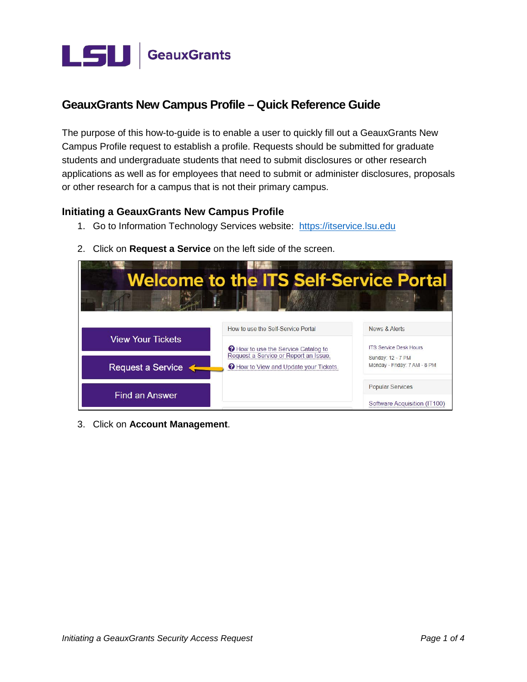

# **GeauxGrants New Campus Profile - Quick Reference Guide**

The purpose of this how-to-guide is to enable a user to quickly fill out a GeauxGrants New Campus Profile request to establish a profile. Requests should be submitted for graduate students and undergraduate students that need to submit disclosures or other research applications as well as for employees that need to submit or administer disclosures, proposals or other research for a campus that is not their primary campus.

## **Initiating a GeauxGrants New Campus Profile**

1. Go to Information Technology Services website: https://itservice.lsu.edu



2. Click on Request a Service on the left side of the screen.

3. Click on Account Management.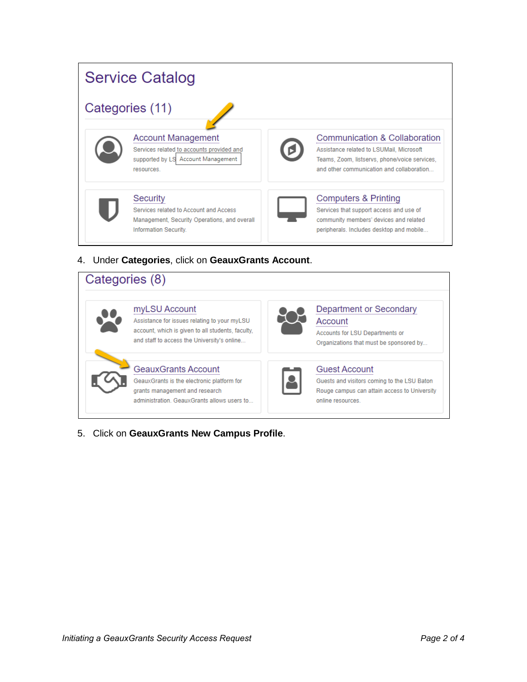

# 4. Under Categories, click on GeauxGrants Account.

| Categories (8)                                                                                                                                                    |                                                                                                                                          |
|-------------------------------------------------------------------------------------------------------------------------------------------------------------------|------------------------------------------------------------------------------------------------------------------------------------------|
| myLSU Account<br>Assistance for issues relating to your myLSU<br>account, which is given to all students, faculty.<br>and staff to access the University's online | Department or Secondary<br>Account<br>Accounts for LSU Departments or<br>Organizations that must be sponsored by                         |
| <b>GeauxGrants Account</b><br>GeauxGrants is the electronic platform for<br>grants management and research<br>administration. GeauxGrants allows users to         | <b>Guest Account</b><br>Guests and visitors coming to the LSU Baton<br>Rouge campus can attain access to University<br>online resources. |

5. Click on GeauxGrants New Campus Profile.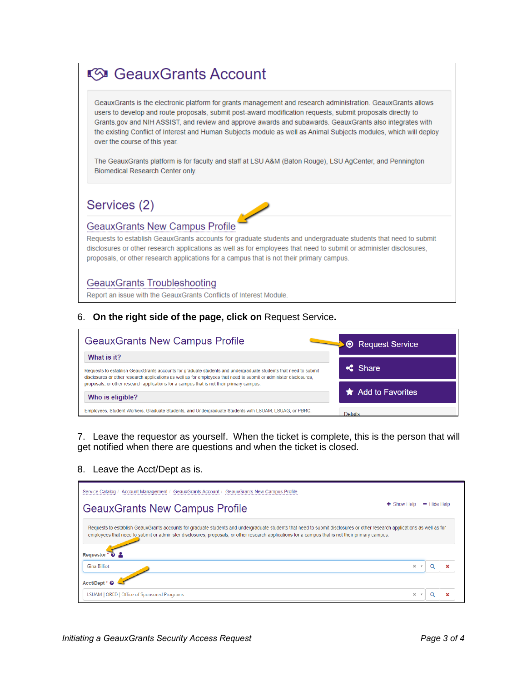# (51 GeauxGrants Account

GeauxGrants is the electronic platform for grants management and research administration. GeauxGrants allows users to develop and route proposals, submit posl-award modification requests, submit proposals directly to Grants.gov and NIH ASSIST, and review and approve awards and subawards. GeauxGrants also integrates with the existing Conflict of Interest and Human Subjects module as well as Animal Subjects modules, which will deploy over the course of this year.

The GeauxGrants platform is for faculty and staff at LSU A&M (Baton Rouge), LSU AgCenter, and Pennington Biomedical Research Center only.

Services (2)

## GeauxGrants New Campus Profile

Requests to establish GeauxGrants accounls for graduate students and undergraduate students that need to submit disclosures or other research applications as well as for employees that need to submit or administer disclosures, proposals, or other research applications for a campus that is not their primary campus.

#### GeauxGrants Troubleshooting

Report an issue with the GeauxGrants Conflicts **of** Interest Module.

#### 6. **On the right side of the page, click on** Request Service**.**

| <b>GeauxGrants New Campus Profile</b>                                                                                                                                                                                                 | <b>A</b> Request Service    |  |
|---------------------------------------------------------------------------------------------------------------------------------------------------------------------------------------------------------------------------------------|-----------------------------|--|
| What is it?                                                                                                                                                                                                                           |                             |  |
| Requests to establish GeauxGrants accounts for graduate students and undergraduate students that need to submit<br>disclosures or other research applications as well as for employees that need to submit or administer disclosures, | $\leq$ Share                |  |
| proposals, or other research applications for a campus that is not their primary campus.                                                                                                                                              | $\bigstar$ Add to Favorites |  |
| Who is eligible?                                                                                                                                                                                                                      |                             |  |
| Employees, Student Workers, Graduate Students, and Undergraduate Students with LSUAM, LSUAG, or PBRC.                                                                                                                                 | Details                     |  |

 7. Leave the requestor as yourself. When the ticket is complete, this is the person that will get notified when there are questions and when the ticket is closed.

#### 8. Leave the Acct/Dept as is.

| Service Catalog / Account Management / GeauxGrants Account / GeauxGrants New Campus Profile                                                                                                                                                                                                                                                     |               |               |  |
|-------------------------------------------------------------------------------------------------------------------------------------------------------------------------------------------------------------------------------------------------------------------------------------------------------------------------------------------------|---------------|---------------|--|
| <b>GeauxGrants New Campus Profile</b>                                                                                                                                                                                                                                                                                                           | $+$ Show Help | $-$ Hide Help |  |
| Requests to establish GeauxGrants accounts for graduate students and undergraduate students that need to submit disclosures or other research applications as well as for<br>employees that need to submit or administer disclosures, proposals, or other research applications for a campus that is not their primary campus.<br>Requestor * @ |               |               |  |
| <b>Gina Billiot</b>                                                                                                                                                                                                                                                                                                                             | $\mathbf{x}$  |               |  |
| Acct/Dept* 6                                                                                                                                                                                                                                                                                                                                    |               |               |  |
| LSUAM   ORED   Office of Sponsored Programs                                                                                                                                                                                                                                                                                                     | x             |               |  |